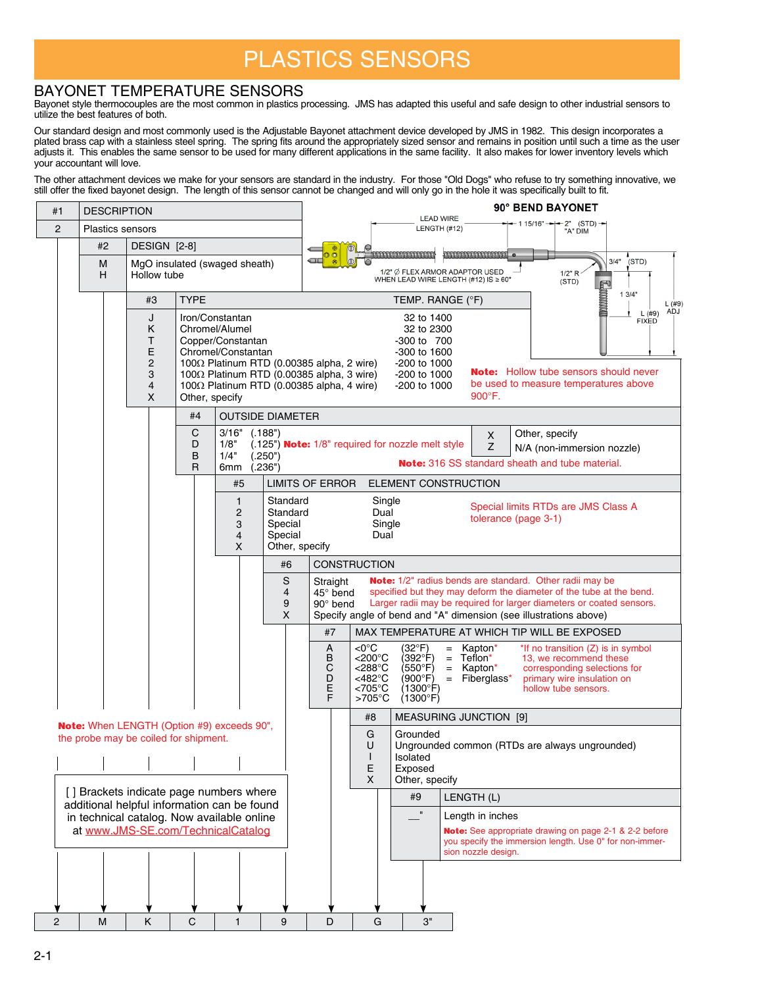## PLASTICS SENSORS

## BAYONET TEMPERATURE SENSORS

Bayonet style thermocouples are the most common in plastics processing. JMS has adapted this useful and safe design to other industrial sensors to utilize the best features of both.

Our standard design and most commonly used is the Adjustable Bayonet attachment device developed by JMS in 1982. This design incorporates a plated brass cap with a stainless steel spring. The spring fits around the appropriately sized sensor and remains in position until such a time as the user adjusts it. This enables the same sensor to be used for many different applications in the same facility. It also makes for lower inventory levels which your accountant will love.

The other attachment devices we make for your sensors are standard in the industry. For those "Old Dogs" who refuse to try something innovative, we still offer the fixed bayonet design. The length of this sensor cannot be changed and will only go in the hole it was specifically built to fit.

| #1                                                                                                         |                                                                                            | <b>DESCRIPTION</b> |                                                   |                  |                                                                              |                                                              |                                                                                                                                                                                                                                                                                                                                                                                                                             | 90° BEND BAYONET<br><b>LEAD WIRE</b>                                           |                                                                                                                                                                                                                                                                                                                                |  |
|------------------------------------------------------------------------------------------------------------|--------------------------------------------------------------------------------------------|--------------------|---------------------------------------------------|------------------|------------------------------------------------------------------------------|--------------------------------------------------------------|-----------------------------------------------------------------------------------------------------------------------------------------------------------------------------------------------------------------------------------------------------------------------------------------------------------------------------------------------------------------------------------------------------------------------------|--------------------------------------------------------------------------------|--------------------------------------------------------------------------------------------------------------------------------------------------------------------------------------------------------------------------------------------------------------------------------------------------------------------------------|--|
| $\overline{2}$                                                                                             |                                                                                            |                    | <b>Plastics sensors</b>                           |                  |                                                                              |                                                              |                                                                                                                                                                                                                                                                                                                                                                                                                             |                                                                                | $-115/16"$ $-2"$ (STD) $-$<br>LENGTH (#12)<br>"A" DIM                                                                                                                                                                                                                                                                          |  |
|                                                                                                            | #2                                                                                         | DESIGN [2-8]       |                                                   |                  |                                                                              |                                                              |                                                                                                                                                                                                                                                                                                                                                                                                                             |                                                                                |                                                                                                                                                                                                                                                                                                                                |  |
|                                                                                                            | M<br>Н                                                                                     |                    | Hollow tube                                       |                  | MgO insulated (swaged sheath)                                                |                                                              | $\leftarrow$                                                                                                                                                                                                                                                                                                                                                                                                                |                                                                                | 3/4"<br>(STD)<br>1/2" $\emptyset$ FLEX ARMOR ADAPTOR USED<br>WHEN LEAD WIRE LENGTH (#12) IS $\geq 60$ "<br>1/2" R<br>(STD)                                                                                                                                                                                                     |  |
|                                                                                                            |                                                                                            |                    | #3                                                | <b>TYPE</b>      |                                                                              |                                                              |                                                                                                                                                                                                                                                                                                                                                                                                                             |                                                                                | <b>Eliminal</b><br>13/4"<br>TEMP. RANGE (°F)<br>L(#9)                                                                                                                                                                                                                                                                          |  |
|                                                                                                            |                                                                                            |                    | J<br>κ<br>Т<br>E<br>$\overline{c}$<br>3<br>4<br>X | Other, specify   | Iron/Constantan<br>Chromel/Alumel<br>Copper/Constantan<br>Chromel/Constantan |                                                              | <b>ADJ</b><br>L(#9)<br>32 to 1400<br><b>FIXED</b><br>32 to 2300<br>-300 to 700<br>$-300$ to 1600<br>100 $\Omega$ Platinum RTD (0.00385 alpha, 2 wire)<br>-200 to 1000<br><b>Note:</b> Hollow tube sensors should never<br>100 $\Omega$ Platinum RTD (0.00385 alpha, 3 wire)<br>-200 to 1000<br>be used to measure temperatures above<br>100 $\Omega$ Platinum RTD (0.00385 alpha, 4 wire)<br>-200 to 1000<br>$900^\circ$ F. |                                                                                |                                                                                                                                                                                                                                                                                                                                |  |
|                                                                                                            |                                                                                            |                    |                                                   | #4               |                                                                              | <b>OUTSIDE DIAMETER</b>                                      |                                                                                                                                                                                                                                                                                                                                                                                                                             |                                                                                |                                                                                                                                                                                                                                                                                                                                |  |
|                                                                                                            |                                                                                            |                    |                                                   | С<br>D<br>B<br>R | 3/16"<br>1/8"<br>1/4"<br>6mm                                                 | (.188")<br>(.250")<br>(.236")                                |                                                                                                                                                                                                                                                                                                                                                                                                                             |                                                                                | Other, specify<br>X<br>(.125") Note: 1/8" required for nozzle melt style<br>Z<br>N/A (non-immersion nozzle)<br>Note: 316 SS standard sheath and tube material.                                                                                                                                                                 |  |
|                                                                                                            |                                                                                            |                    |                                                   |                  | #5                                                                           |                                                              | <b>LIMITS OF ERROR</b>                                                                                                                                                                                                                                                                                                                                                                                                      |                                                                                | <b>ELEMENT CONSTRUCTION</b>                                                                                                                                                                                                                                                                                                    |  |
|                                                                                                            |                                                                                            |                    |                                                   |                  | $\mathbf{1}$<br>$\overline{c}$<br>3<br>4<br>X                                | Standard<br>Standard<br>Special<br>Special<br>Other, specify |                                                                                                                                                                                                                                                                                                                                                                                                                             | Single<br>Dual<br>Single<br>Dual                                               | Special limits RTDs are JMS Class A<br>tolerance (page 3-1)                                                                                                                                                                                                                                                                    |  |
|                                                                                                            |                                                                                            |                    |                                                   |                  |                                                                              | #6                                                           |                                                                                                                                                                                                                                                                                                                                                                                                                             | <b>CONSTRUCTION</b>                                                            |                                                                                                                                                                                                                                                                                                                                |  |
|                                                                                                            |                                                                                            |                    |                                                   |                  |                                                                              | S<br>4<br>9<br>X                                             | Straight<br>45° bend<br>90° bend                                                                                                                                                                                                                                                                                                                                                                                            |                                                                                | <b>Note:</b> 1/2" radius bends are standard. Other radii may be<br>specified but they may deform the diameter of the tube at the bend.<br>Larger radii may be required for larger diameters or coated sensors.<br>Specify angle of bend and "A" dimension (see illustrations above)                                            |  |
|                                                                                                            |                                                                                            |                    |                                                   |                  |                                                                              |                                                              | #7                                                                                                                                                                                                                                                                                                                                                                                                                          |                                                                                | MAX TEMPERATURE AT WHICH TIP WILL BE EXPOSED                                                                                                                                                                                                                                                                                   |  |
|                                                                                                            |                                                                                            |                    |                                                   |                  |                                                                              |                                                              | A<br>B<br>С<br>D<br>E<br>F                                                                                                                                                                                                                                                                                                                                                                                                  | <0°C<br><200°C<br>$<$ 288 $^{\circ}$ C<br><482°C<br><705°C<br>$>705^{\circ}$ C | $(32^{\circ}F)$<br>Kapton*<br>*If no transition (Z) is in symbol<br>$=$<br>Teflon*<br>(392°F)<br>13, we recommend these<br>$\equiv$<br>(550°F)<br>$=$ Kapton <sup>*</sup><br>corresponding selections for<br>(900°F)<br>$=$ Fiberglass*<br>primary wire insulation on<br>(1300°F)<br>hollow tube sensors.<br>$(1300^{\circ}F)$ |  |
|                                                                                                            |                                                                                            |                    |                                                   |                  |                                                                              |                                                              |                                                                                                                                                                                                                                                                                                                                                                                                                             | #8                                                                             | <b>MEASURING JUNCTION [9]</b>                                                                                                                                                                                                                                                                                                  |  |
|                                                                                                            | <b>Note:</b> When LENGTH (Option #9) exceeds 90",<br>the probe may be coiled for shipment. |                    |                                                   |                  |                                                                              |                                                              |                                                                                                                                                                                                                                                                                                                                                                                                                             | G<br>U<br>H<br>E<br>X                                                          | Grounded<br>Ungrounded common (RTDs are always ungrounded)<br>Isolated<br>Exposed<br>Other, specify                                                                                                                                                                                                                            |  |
| [] Brackets indicate page numbers where<br>#9<br>LENGTH (L)<br>additional helpful information can be found |                                                                                            |                    |                                                   |                  |                                                                              |                                                              |                                                                                                                                                                                                                                                                                                                                                                                                                             |                                                                                |                                                                                                                                                                                                                                                                                                                                |  |
| in technical catalog. Now available online<br>at www.JMS-SE.com/TechnicalCatalog                           |                                                                                            |                    |                                                   |                  |                                                                              |                                                              |                                                                                                                                                                                                                                                                                                                                                                                                                             |                                                                                | $\mathbf{u}$<br>Length in inches<br>Note: See appropriate drawing on page 2-1 & 2-2 before<br>you specify the immersion length. Use 0" for non-immer-<br>sion nozzle design.                                                                                                                                                   |  |
|                                                                                                            |                                                                                            |                    |                                                   |                  |                                                                              |                                                              |                                                                                                                                                                                                                                                                                                                                                                                                                             |                                                                                |                                                                                                                                                                                                                                                                                                                                |  |
| $\overline{2}$                                                                                             | M                                                                                          |                    | Κ                                                 | C                | $\mathbf{1}$                                                                 | 9                                                            | D                                                                                                                                                                                                                                                                                                                                                                                                                           | G                                                                              | З"                                                                                                                                                                                                                                                                                                                             |  |